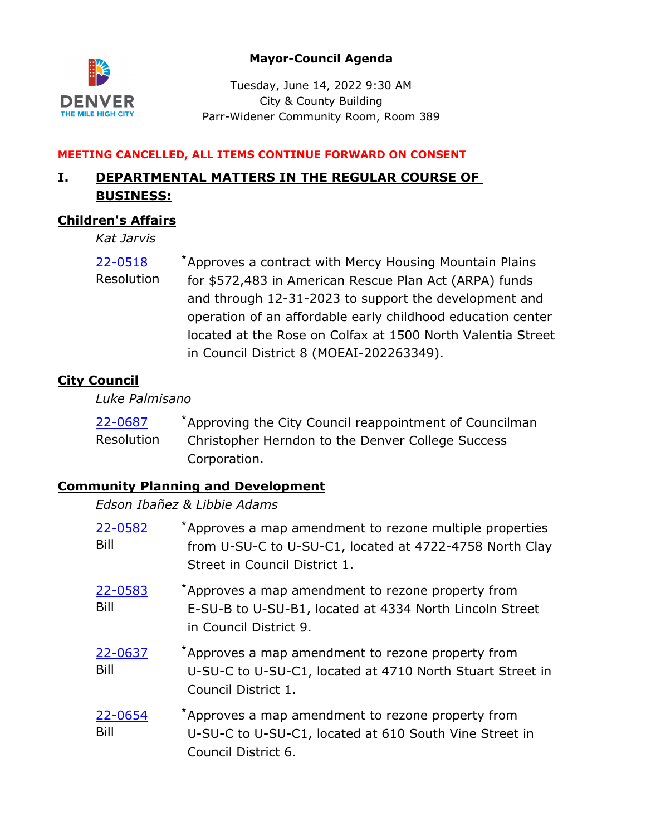## **Mayor-Council Agenda**



Tuesday, June 14, 2022 9:30 AM City & County Building Parr-Widener Community Room, Room 389

#### **MEETING CANCELLED, ALL ITEMS CONTINUE FORWARD ON CONSENT**

# **I. DEPARTMENTAL MATTERS IN THE REGULAR COURSE OF BUSINESS:**

## **Children's Affairs**

*Kat Jarvis*

Approves a contract with Mercy Housing Mountain Plains for \$572,483 in American Rescue Plan Act (ARPA) funds and through 12-31-2023 to support the development and operation of an affordable early childhood education center located at the Rose on Colfax at 1500 North Valentia Street in Council District 8 (MOEAI-202263349). [22-0518](http://denver.legistar.com/gateway.aspx?m=l&id=/matter.aspx?key=21585) **\*** Resolution

# **City Council**

*Luke Palmisano*

| 22-0687    | *Approving the City Council reappointment of Councilman |
|------------|---------------------------------------------------------|
| Resolution | Christopher Herndon to the Denver College Success       |
|            | Corporation.                                            |

## **Community Planning and Development**

### *Edson Ibañez & Libbie Adams*

| 22-0582<br>Bill | *Approves a map amendment to rezone multiple properties<br>from U-SU-C to U-SU-C1, located at 4722-4758 North Clay<br>Street in Council District 1. |
|-----------------|-----------------------------------------------------------------------------------------------------------------------------------------------------|
| 22-0583<br>Bill | *Approves a map amendment to rezone property from<br>E-SU-B to U-SU-B1, located at 4334 North Lincoln Street<br>in Council District 9.              |
| 22-0637<br>Bill | *Approves a map amendment to rezone property from<br>U-SU-C to U-SU-C1, located at 4710 North Stuart Street in<br>Council District 1.               |
| 22-0654<br>Bill | *Approves a map amendment to rezone property from<br>U-SU-C to U-SU-C1, located at 610 South Vine Street in<br>Council District 6.                  |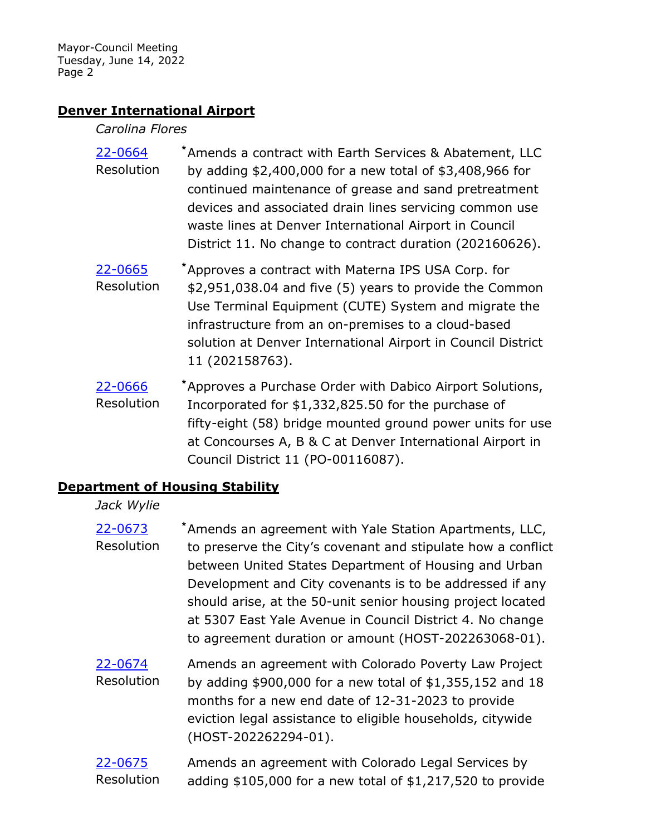### **Denver International Airport**

#### *Carolina Flores*

- Amends a contract with Earth Services & Abatement, LLC by adding \$2,400,000 for a new total of \$3,408,966 for continued maintenance of grease and sand pretreatment devices and associated drain lines servicing common use waste lines at Denver International Airport in Council District 11. No change to contract duration (202160626). [22-0664](http://denver.legistar.com/gateway.aspx?m=l&id=/matter.aspx?key=21731) **\*** Resolution
- Approves a contract with Materna IPS USA Corp. for \$2,951,038.04 and five (5) years to provide the Common Use Terminal Equipment (CUTE) System and migrate the infrastructure from an on-premises to a cloud-based solution at Denver International Airport in Council District 11 (202158763). [22-0665](http://denver.legistar.com/gateway.aspx?m=l&id=/matter.aspx?key=21732) **\*** Resolution
- Approves a Purchase Order with Dabico Airport Solutions, Incorporated for \$1,332,825.50 for the purchase of fifty-eight (58) bridge mounted ground power units for use at Concourses A, B & C at Denver International Airport in Council District 11 (PO-00116087). [22-0666](http://denver.legistar.com/gateway.aspx?m=l&id=/matter.aspx?key=21733) **\*** Resolution

### **Department of Housing Stability**

### *Jack Wylie*

- Amends an agreement with Yale Station Apartments, LLC, to preserve the City's covenant and stipulate how a conflict between United States Department of Housing and Urban Development and City covenants is to be addressed if any should arise, at the 50-unit senior housing project located at 5307 East Yale Avenue in Council District 4. No change to agreement duration or amount (HOST-202263068-01). [22-0673](http://denver.legistar.com/gateway.aspx?m=l&id=/matter.aspx?key=21740) **\*** Resolution
- Amends an agreement with Colorado Poverty Law Project by adding \$900,000 for a new total of \$1,355,152 and 18 months for a new end date of 12-31-2023 to provide eviction legal assistance to eligible households, citywide (HOST-202262294-01). [22-0674](http://denver.legistar.com/gateway.aspx?m=l&id=/matter.aspx?key=21741) Resolution
- Amends an agreement with Colorado Legal Services by adding \$105,000 for a new total of \$1,217,520 to provide [22-0675](http://denver.legistar.com/gateway.aspx?m=l&id=/matter.aspx?key=21742) Resolution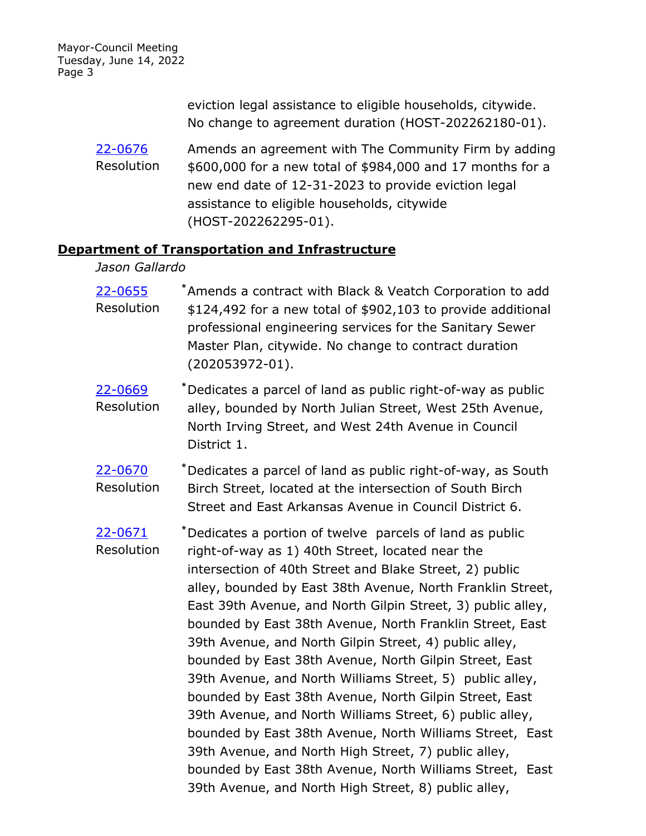> eviction legal assistance to eligible households, citywide. No change to agreement duration (HOST-202262180-01).

Amends an agreement with The Community Firm by adding \$600,000 for a new total of \$984,000 and 17 months for a new end date of 12-31-2023 to provide eviction legal assistance to eligible households, citywide (HOST-202262295-01). [22-0676](http://denver.legistar.com/gateway.aspx?m=l&id=/matter.aspx?key=21743) Resolution

### **Department of Transportation and Infrastructure**

#### *Jason Gallardo*

Amends a contract with Black & Veatch Corporation to add \$124,492 for a new total of \$902,103 to provide additional professional engineering services for the Sanitary Sewer Master Plan, citywide. No change to contract duration (202053972-01). [22-0655](http://denver.legistar.com/gateway.aspx?m=l&id=/matter.aspx?key=21722) **\*** Resolution

- Dedicates a parcel of land as public right-of-way as public alley, bounded by North Julian Street, West 25th Avenue, North Irving Street, and West 24th Avenue in Council District 1. [22-0669](http://denver.legistar.com/gateway.aspx?m=l&id=/matter.aspx?key=21736) **\*** Resolution
- Dedicates a parcel of land as public right-of-way, as South Birch Street, located at the intersection of South Birch Street and East Arkansas Avenue in Council District 6. [22-0670](http://denver.legistar.com/gateway.aspx?m=l&id=/matter.aspx?key=21737) **\*** Resolution

Dedicates a portion of twelve parcels of land as public right-of-way as 1) 40th Street, located near the intersection of 40th Street and Blake Street, 2) public alley, bounded by East 38th Avenue, North Franklin Street, East 39th Avenue, and North Gilpin Street, 3) public alley, bounded by East 38th Avenue, North Franklin Street, East 39th Avenue, and North Gilpin Street, 4) public alley, bounded by East 38th Avenue, North Gilpin Street, East 39th Avenue, and North Williams Street, 5) public alley, bounded by East 38th Avenue, North Gilpin Street, East 39th Avenue, and North Williams Street, 6) public alley, bounded by East 38th Avenue, North Williams Street, East 39th Avenue, and North High Street, 7) public alley, bounded by East 38th Avenue, North Williams Street, East 39th Avenue, and North High Street, 8) public alley, [22-0671](http://denver.legistar.com/gateway.aspx?m=l&id=/matter.aspx?key=21738) **\*** Resolution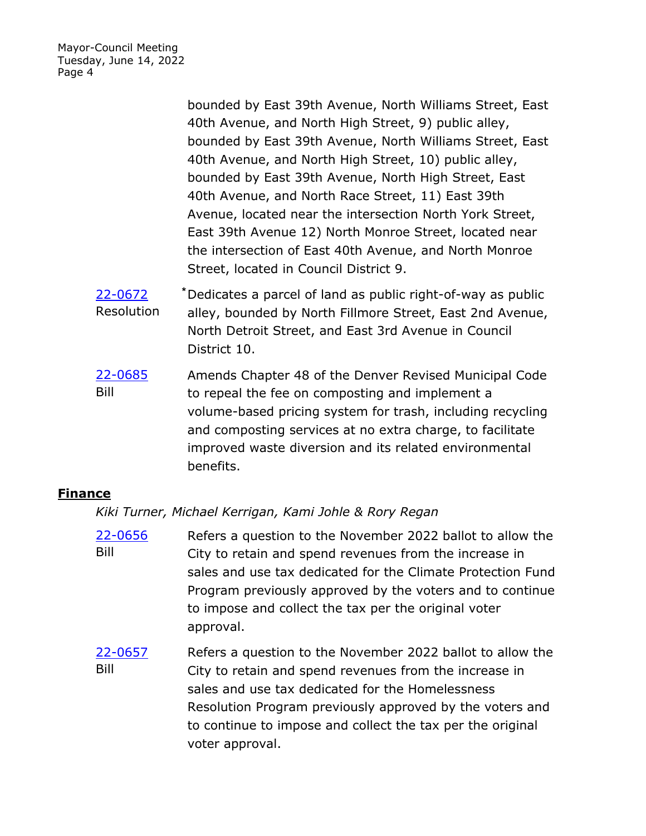> bounded by East 39th Avenue, North Williams Street, East 40th Avenue, and North High Street, 9) public alley, bounded by East 39th Avenue, North Williams Street, East 40th Avenue, and North High Street, 10) public alley, bounded by East 39th Avenue, North High Street, East 40th Avenue, and North Race Street, 11) East 39th Avenue, located near the intersection North York Street, East 39th Avenue 12) North Monroe Street, located near the intersection of East 40th Avenue, and North Monroe Street, located in Council District 9.

- Dedicates a parcel of land as public right-of-way as public alley, bounded by North Fillmore Street, East 2nd Avenue, North Detroit Street, and East 3rd Avenue in Council District 10. [22-0672](http://denver.legistar.com/gateway.aspx?m=l&id=/matter.aspx?key=21739) **\*** Resolution
- Amends Chapter 48 of the Denver Revised Municipal Code to repeal the fee on composting and implement a volume-based pricing system for trash, including recycling and composting services at no extra charge, to facilitate improved waste diversion and its related environmental benefits. [22-0685](http://denver.legistar.com/gateway.aspx?m=l&id=/matter.aspx?key=21752) Bill

## **Finance**

*Kiki Turner, Michael Kerrigan, Kami Johle & Rory Regan*

- Refers a question to the November 2022 ballot to allow the City to retain and spend revenues from the increase in sales and use tax dedicated for the Climate Protection Fund Program previously approved by the voters and to continue to impose and collect the tax per the original voter approval. [22-0656](http://denver.legistar.com/gateway.aspx?m=l&id=/matter.aspx?key=21723) Bill
- Refers a question to the November 2022 ballot to allow the City to retain and spend revenues from the increase in sales and use tax dedicated for the Homelessness Resolution Program previously approved by the voters and to continue to impose and collect the tax per the original voter approval. [22-0657](http://denver.legistar.com/gateway.aspx?m=l&id=/matter.aspx?key=21724) Bill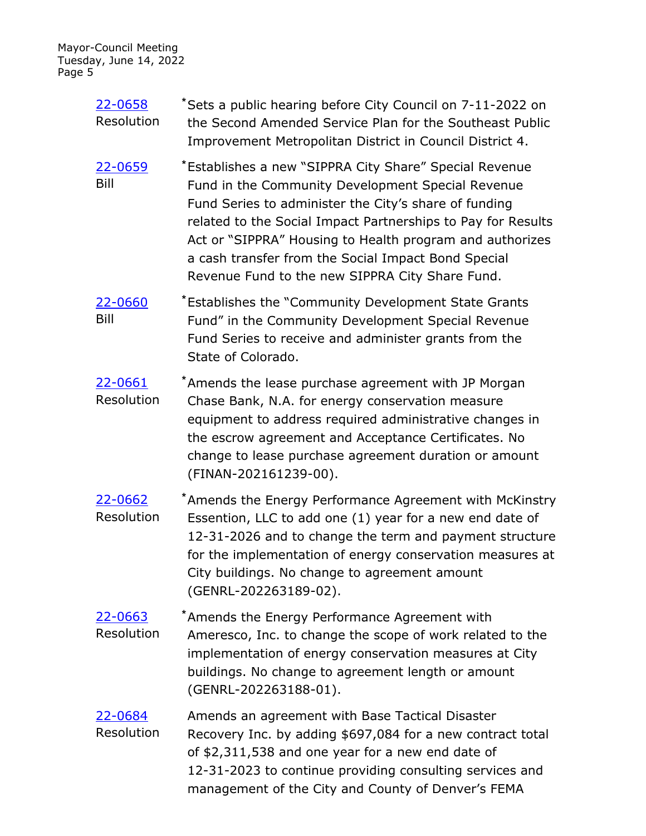> Sets a public hearing before City Council on 7-11-2022 on the Second Amended Service Plan for the Southeast Public Improvement Metropolitan District in Council District 4. [22-0658](http://denver.legistar.com/gateway.aspx?m=l&id=/matter.aspx?key=21725) **\*** Resolution Establishes a new "SIPPRA City Share" Special Revenue Fund in the Community Development Special Revenue Fund Series to administer the City's share of funding related to the Social Impact Partnerships to Pay for Results Act or "SIPPRA" Housing to Health program and authorizes a cash transfer from the Social Impact Bond Special Revenue Fund to the new SIPPRA City Share Fund. [22-0659](http://denver.legistar.com/gateway.aspx?m=l&id=/matter.aspx?key=21726) **\*** Bill Establishes the "Community Development State Grants Fund" in the Community Development Special Revenue Fund Series to receive and administer grants from the State of Colorado. [22-0660](http://denver.legistar.com/gateway.aspx?m=l&id=/matter.aspx?key=21727) **\*** Bill Amends the lease purchase agreement with JP Morgan Chase Bank, N.A. for energy conservation measure equipment to address required administrative changes in the escrow agreement and Acceptance Certificates. No change to lease purchase agreement duration or amount (FINAN-202161239-00). [22-0661](http://denver.legistar.com/gateway.aspx?m=l&id=/matter.aspx?key=21728) **\*** Resolution Amends the Energy Performance Agreement with McKinstry Essention, LLC to add one (1) year for a new end date of 12-31-2026 and to change the term and payment structure for the implementation of energy conservation measures at City buildings. No change to agreement amount (GENRL-202263189-02). [22-0662](http://denver.legistar.com/gateway.aspx?m=l&id=/matter.aspx?key=21729) **\*** Resolution Amends the Energy Performance Agreement with Ameresco, Inc. to change the scope of work related to the implementation of energy conservation measures at City buildings. No change to agreement length or amount (GENRL-202263188-01). [22-0663](http://denver.legistar.com/gateway.aspx?m=l&id=/matter.aspx?key=21730) **\*** Resolution Amends an agreement with Base Tactical Disaster Recovery Inc. by adding \$697,084 for a new contract total of \$2,311,538 and one year for a new end date of 12-31-2023 to continue providing consulting services and [22-0684](http://denver.legistar.com/gateway.aspx?m=l&id=/matter.aspx?key=21751) Resolution

> > management of the City and County of Denver's FEMA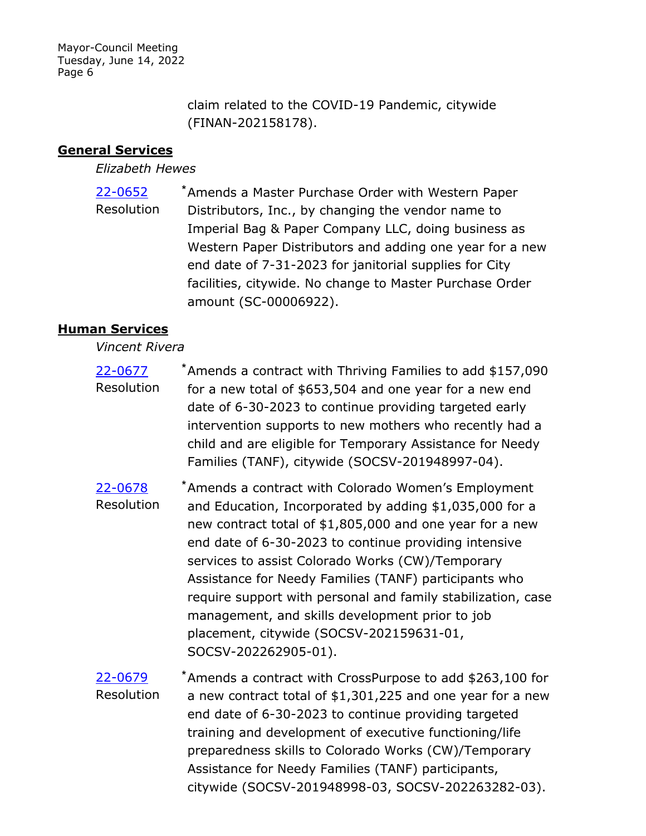> claim related to the COVID-19 Pandemic, citywide (FINAN-202158178).

## **General Services**

### *Elizabeth Hewes*

Amends a Master Purchase Order with Western Paper Distributors, Inc., by changing the vendor name to Imperial Bag & Paper Company LLC, doing business as Western Paper Distributors and adding one year for a new end date of 7-31-2023 for janitorial supplies for City facilities, citywide. No change to Master Purchase Order amount (SC-00006922). [22-0652](http://denver.legistar.com/gateway.aspx?m=l&id=/matter.aspx?key=21719) **\*** Resolution

## **Human Services**

### *Vincent Rivera*

- Amends a contract with Thriving Families to add \$157,090 for a new total of \$653,504 and one year for a new end date of 6-30-2023 to continue providing targeted early intervention supports to new mothers who recently had a child and are eligible for Temporary Assistance for Needy Families (TANF), citywide (SOCSV-201948997-04). [22-0677](http://denver.legistar.com/gateway.aspx?m=l&id=/matter.aspx?key=21744) **\*** Resolution
- Amends a contract with Colorado Women's Employment and Education, Incorporated by adding \$1,035,000 for a new contract total of \$1,805,000 and one year for a new end date of 6-30-2023 to continue providing intensive services to assist Colorado Works (CW)/Temporary Assistance for Needy Families (TANF) participants who require support with personal and family stabilization, case management, and skills development prior to job placement, citywide (SOCSV-202159631-01, SOCSV-202262905-01). [22-0678](http://denver.legistar.com/gateway.aspx?m=l&id=/matter.aspx?key=21745) **\*** Resolution
- Amends a contract with CrossPurpose to add \$263,100 for a new contract total of \$1,301,225 and one year for a new end date of 6-30-2023 to continue providing targeted training and development of executive functioning/life preparedness skills to Colorado Works (CW)/Temporary Assistance for Needy Families (TANF) participants, citywide (SOCSV-201948998-03, SOCSV-202263282-03). [22-0679](http://denver.legistar.com/gateway.aspx?m=l&id=/matter.aspx?key=21746) **\*** Resolution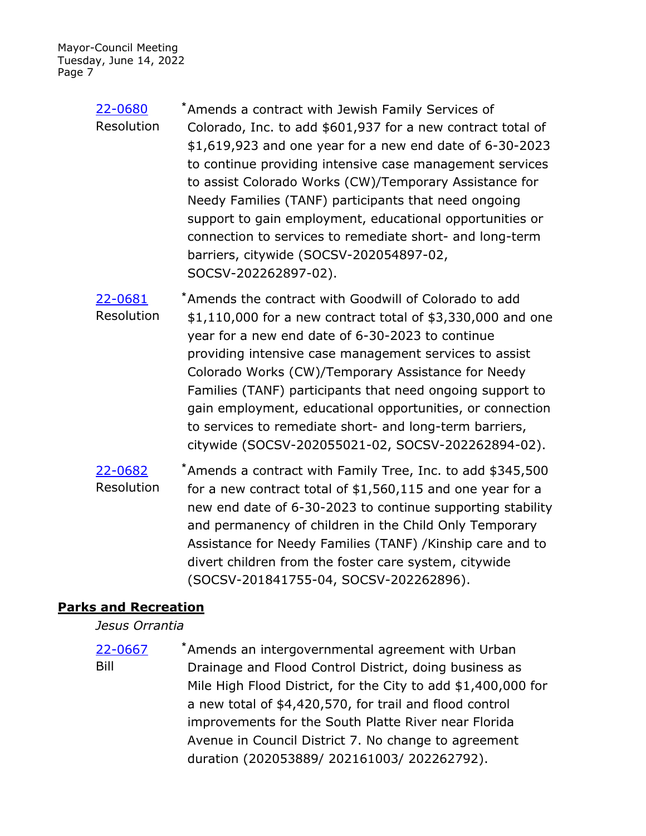- Amends a contract with Jewish Family Services of Colorado, Inc. to add \$601,937 for a new contract total of \$1,619,923 and one year for a new end date of 6-30-2023 to continue providing intensive case management services to assist Colorado Works (CW)/Temporary Assistance for Needy Families (TANF) participants that need ongoing support to gain employment, educational opportunities or connection to services to remediate short- and long-term barriers, citywide (SOCSV-202054897-02, SOCSV-202262897-02). [22-0680](http://denver.legistar.com/gateway.aspx?m=l&id=/matter.aspx?key=21747) **\*** Resolution
- Amends the contract with Goodwill of Colorado to add \$1,110,000 for a new contract total of \$3,330,000 and one year for a new end date of 6-30-2023 to continue providing intensive case management services to assist Colorado Works (CW)/Temporary Assistance for Needy Families (TANF) participants that need ongoing support to gain employment, educational opportunities, or connection to services to remediate short- and long-term barriers, citywide (SOCSV-202055021-02, SOCSV-202262894-02). [22-0681](http://denver.legistar.com/gateway.aspx?m=l&id=/matter.aspx?key=21748) **\*** Resolution
- Amends a contract with Family Tree, Inc. to add \$345,500 for a new contract total of \$1,560,115 and one year for a new end date of 6-30-2023 to continue supporting stability and permanency of children in the Child Only Temporary Assistance for Needy Families (TANF) /Kinship care and to divert children from the foster care system, citywide (SOCSV-201841755-04, SOCSV-202262896). [22-0682](http://denver.legistar.com/gateway.aspx?m=l&id=/matter.aspx?key=21749) **\*** Resolution

## **Parks and Recreation**

*Jesus Orrantia*

Amends an intergovernmental agreement with Urban Drainage and Flood Control District, doing business as Mile High Flood District, for the City to add \$1,400,000 for a new total of \$4,420,570, for trail and flood control improvements for the South Platte River near Florida Avenue in Council District 7. No change to agreement duration (202053889/ 202161003/ 202262792). [22-0667](http://denver.legistar.com/gateway.aspx?m=l&id=/matter.aspx?key=21734) **\*** Bill